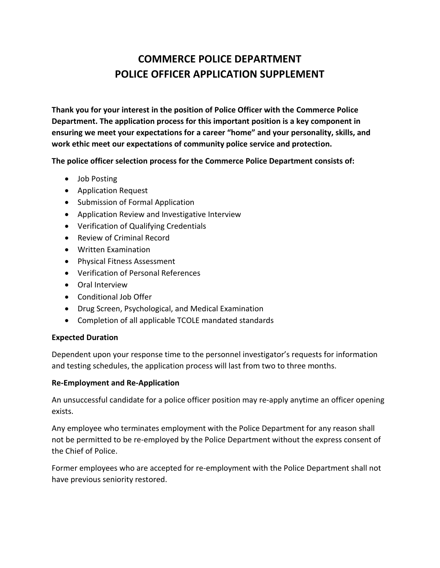**Thank you for your interest in the position of Police Officer with the Commerce Police Department. The application process for this important position is a key component in ensuring we meet your expectations for a career "home" and your personality, skills, and work ethic meet our expectations of community police service and protection.**

**The police officer selection process for the Commerce Police Department consists of:**

- Job Posting
- Application Request
- Submission of Formal Application
- Application Review and Investigative Interview
- Verification of Qualifying Credentials
- Review of Criminal Record
- Written Examination
- Physical Fitness Assessment
- Verification of Personal References
- Oral Interview
- Conditional Job Offer
- Drug Screen, Psychological, and Medical Examination
- Completion of all applicable TCOLE mandated standards

### **Expected Duration**

Dependent upon your response time to the personnel investigator's requests for information and testing schedules, the application process will last from two to three months.

### **Re-Employment and Re-Application**

An unsuccessful candidate for a police officer position may re-apply anytime an officer opening exists.

Any employee who terminates employment with the Police Department for any reason shall not be permitted to be re-employed by the Police Department without the express consent of the Chief of Police.

Former employees who are accepted for re-employment with the Police Department shall not have previous seniority restored.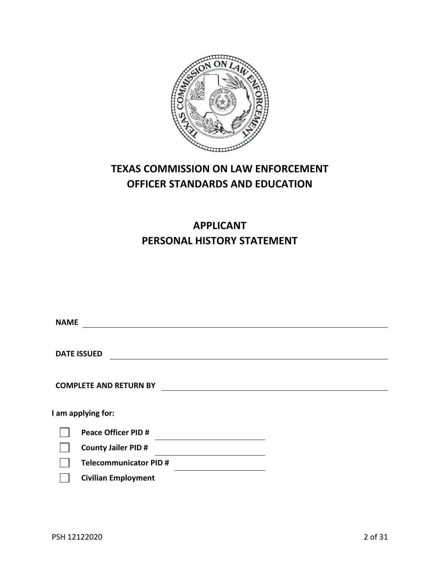

# **TEXAS COMMISSION ON LAW ENFORCEMENT OFFICER STANDARDS AND EDUCATION**

# **APPLICANT PERSONAL HISTORY STATEMENT**

| <b>NAME</b> |                               |
|-------------|-------------------------------|
|             |                               |
|             | <b>DATE ISSUED</b>            |
|             |                               |
|             | <b>COMPLETE AND RETURN BY</b> |
|             | I am applying for:            |
|             | <b>Peace Officer PID #</b>    |
|             | <b>County Jailer PID #</b>    |
|             | <b>Telecommunicator PID#</b>  |
|             | <b>Civilian Employment</b>    |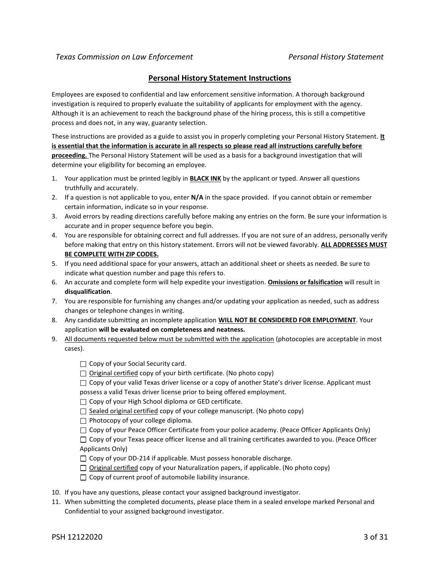#### **Personal History Statement Instructions**

Employees are exposed to confidential and law enforcement sensitive information. A thorough background investigation is required to properly evaluate the suitability of applicants for employment with the agency. Although it is an achievement to reach the background phase of the hiring process, this is still a competitive process and does not, in any way, guaranty selection.

These instructions are provided as a guide to assist you in properly completing your Personal History Statement. **It is essential that the information is accurate in all respects so please read all instructions carefully before proceeding.** The Personal History Statement will be used as a basis for a background investigation that will determine your eligibility for becoming an employee.

- 1. Your application must be printed legibly in **BLACK INK** by the applicant or typed. Answer all questions truthfully and accurately.
- 2. If a question is not applicable to you, enter **N/A** in the space provided. If you cannot obtain or remember certain information, indicate so in your response.
- 3. Avoid errors by reading directions carefully before making any entries on the form. Be sure your information is accurate and in proper sequence before you begin.
- 4. You are responsible for obtaining correct and full addresses. If you are not sure of an address, personally verify before making that entry on this history statement. Errors will not be viewed favorably. **ALL ADDRESSES MUST BE COMPLETE WITH ZIP CODES.**
- 5. If you need additional space for your answers, attach an additional sheet or sheets as needed. Be sure to indicate what question number and page this refers to.
- 6. An accurate and complete form will help expedite your investigation. **Omissions or falsification** will result in **disqualification**.
- 7. You are responsible for furnishing any changes and/or updating your application as needed, such as address changes or telephone changes in writing.
- 8. Any candidate submitting an incomplete application **WILL NOT BE CONSIDERED FOR EMPLOYMENT**. Your application **will be evaluated on completeness and neatness.**
- 9. All documents requested below must be submitted with the application (photocopies are acceptable in most cases).

 $\Box$  Copy of your Social Security card.

□ Original certified copy of your birth certificate. (No photo copy)

 $\Box$  Copy of your valid Texas driver license or a copy of another State's driver license. Applicant must possess a valid Texas driver license prior to being offered employment.

 $\Box$  Copy of your High School diploma or GED certificate.

 $\Box$  Sealed original certified copy of your college manuscript. (No photo copy)

 $\Box$  Photocopy of your college diploma.

 $\Box$  Copy of your Peace Officer Certificate from your police academy. (Peace Officer Applicants Only)

 $\Box$  Copy of your Texas peace officer license and all training certificates awarded to you. (Peace Officer Applicants Only)

 $\Box$  Copy of your DD-214 if applicable. Must possess honorable discharge.

 $\Box$  Original certified copy of your Naturalization papers, if applicable. (No photo copy)

 $\Box$  Copy of current proof of automobile liability insurance.

- 10. If you have any questions, please contact your assigned background investigator.
- 11. When submitting the completed documents, please place them in a sealed envelope marked Personal and Confidential to your assigned background investigator.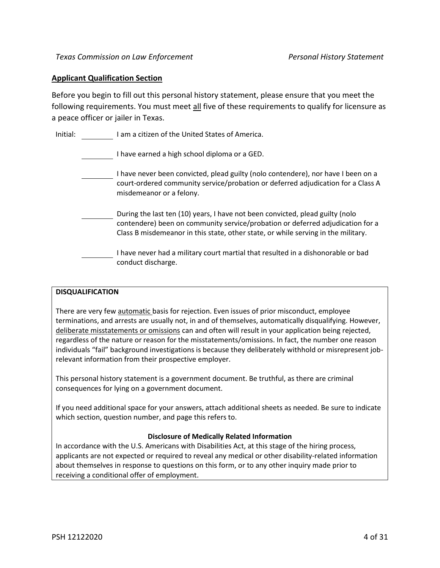#### **Applicant Qualification Section**

Before you begin to fill out this personal history statement, please ensure that you meet the following requirements. You must meet all five of these requirements to qualify for licensure as a peace officer or jailer in Texas.

| Initial: | I am a citizen of the United States of America. |
|----------|-------------------------------------------------|
|          |                                                 |

I have earned a high school diploma or a GED.

- I have never been convicted, plead guilty (nolo contendere), nor have I been on a court-ordered community service/probation or deferred adjudication for a Class A misdemeanor or a felony.
- During the last ten (10) years, I have not been convicted, plead guilty (nolo contendere) been on community service/probation or deferred adjudication for a Class B misdemeanor in this state, other state, or while serving in the military.
- I have never had a military court martial that resulted in a dishonorable or bad conduct discharge.

#### **DISQUALIFICATION**

There are very few automatic basis for rejection. Even issues of prior misconduct, employee terminations, and arrests are usually not, in and of themselves, automatically disqualifying. However, deliberate misstatements or omissions can and often will result in your application being rejected, regardless of the nature or reason for the misstatements/omissions. In fact, the number one reason individuals "fail" background investigations is because they deliberately withhold or misrepresent jobrelevant information from their prospective employer.

This personal history statement is a government document. Be truthful, as there are criminal consequences for lying on a government document.

If you need additional space for your answers, attach additional sheets as needed. Be sure to indicate which section, question number, and page this refers to.

#### **Disclosure of Medically Related Information**

In accordance with the U.S. Americans with Disabilities Act, at this stage of the hiring process, applicants are not expected or required to reveal any medical or other disability-related information about themselves in response to questions on this form, or to any other inquiry made prior to receiving a conditional offer of employment.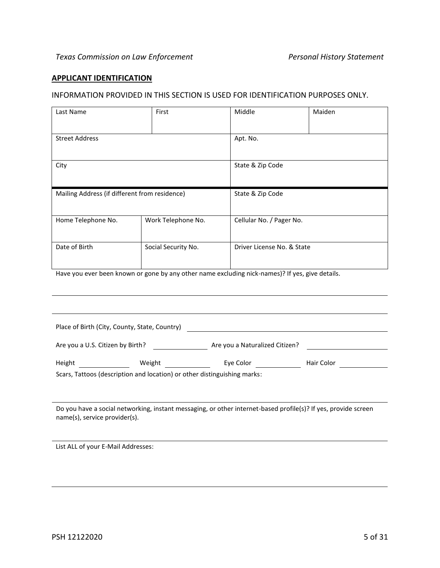#### **APPLICANT IDENTIFICATION**

#### INFORMATION PROVIDED IN THIS SECTION IS USED FOR IDENTIFICATION PURPOSES ONLY.

| Last Name                                     | First               | Middle                     | Maiden |
|-----------------------------------------------|---------------------|----------------------------|--------|
|                                               |                     |                            |        |
| <b>Street Address</b>                         |                     | Apt. No.                   |        |
|                                               |                     |                            |        |
| City                                          |                     | State & Zip Code           |        |
|                                               |                     |                            |        |
| Mailing Address (if different from residence) |                     | State & Zip Code           |        |
|                                               |                     |                            |        |
| Home Telephone No.                            | Work Telephone No.  | Cellular No. / Pager No.   |        |
|                                               |                     |                            |        |
| Date of Birth                                 | Social Security No. | Driver License No. & State |        |
|                                               |                     |                            |        |

Have you ever been known or gone by any other name excluding nick-names)? If yes, give details.

| Place of Birth (City, County, State, Country)                            |  |                                |            |  |
|--------------------------------------------------------------------------|--|--------------------------------|------------|--|
| Are you a U.S. Citizen by Birth?                                         |  | Are you a Naturalized Citizen? |            |  |
| Height<br>Weight                                                         |  | Eye Color                      | Hair Color |  |
| Scars, Tattoos (description and location) or other distinguishing marks: |  |                                |            |  |

Do you have a social networking, instant messaging, or other internet-based profile(s)? If yes, provide screen name(s), service provider(s).

List ALL of your E-Mail Addresses: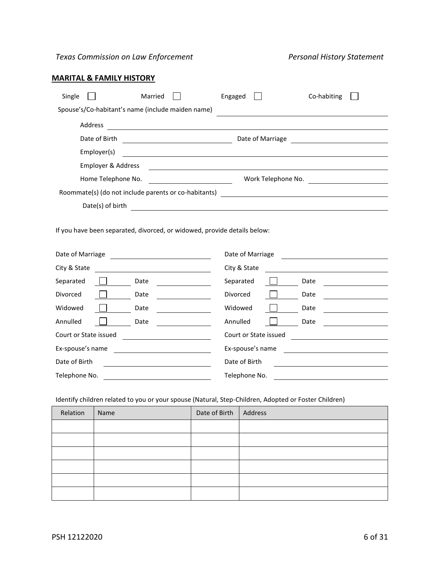# **MARITAL & FAMILY HISTORY**

| Single<br>Married                                                                                                                     | Engaged<br>Co-habiting                                                                                                                                                                                                                               |  |  |  |
|---------------------------------------------------------------------------------------------------------------------------------------|------------------------------------------------------------------------------------------------------------------------------------------------------------------------------------------------------------------------------------------------------|--|--|--|
| Spouse's/Co-habitant's name (include maiden name)                                                                                     |                                                                                                                                                                                                                                                      |  |  |  |
| Address                                                                                                                               |                                                                                                                                                                                                                                                      |  |  |  |
| Date of Birth<br><u> 1989 - Johann Barn, fransk politik (</u>                                                                         | Date of Marriage                                                                                                                                                                                                                                     |  |  |  |
| Employer(s)                                                                                                                           |                                                                                                                                                                                                                                                      |  |  |  |
| Employer & Address                                                                                                                    |                                                                                                                                                                                                                                                      |  |  |  |
| Home Telephone No.                                                                                                                    | Work Telephone No.                                                                                                                                                                                                                                   |  |  |  |
| Roommate(s) (do not include parents or co-habitants)                                                                                  |                                                                                                                                                                                                                                                      |  |  |  |
| Date(s) of birth                                                                                                                      | <u> 1989 - Johann Stoff, deutscher Stoffen und der Stoffen und der Stoffen und der Stoffen und der Stoffen und der</u>                                                                                                                               |  |  |  |
| If you have been separated, divorced, or widowed, provide details below:                                                              |                                                                                                                                                                                                                                                      |  |  |  |
| Date of Marriage                                                                                                                      | Date of Marriage<br><u> 1989 - Johann Stoff, deutscher Stoff</u>                                                                                                                                                                                     |  |  |  |
| City & State                                                                                                                          | City & State<br><u>and the state of the state of the state of the state of the state of the state of the state of the state of the state of the state of the state of the state of the state of the state of the state of the state of the state</u> |  |  |  |
| Separated<br>Date                                                                                                                     | Separated<br>Date                                                                                                                                                                                                                                    |  |  |  |
| Divorced<br>Date                                                                                                                      | Divorced<br>Date                                                                                                                                                                                                                                     |  |  |  |
| Widowed<br>Date                                                                                                                       | Widowed<br>Date                                                                                                                                                                                                                                      |  |  |  |
| Annulled<br>Date                                                                                                                      | Annulled<br>Date                                                                                                                                                                                                                                     |  |  |  |
| Court or State issued                                                                                                                 | Court or State issued                                                                                                                                                                                                                                |  |  |  |
| Ex-spouse's name                                                                                                                      | Ex-spouse's name                                                                                                                                                                                                                                     |  |  |  |
| Date of Birth<br><u> 1980 - Johann Barn, mars ann an t-Amhain Aonaich an t-Aonaich an t-Aonaich ann an t-Aonaich ann an t-Aonaich</u> | Date of Birth                                                                                                                                                                                                                                        |  |  |  |
| Telephone No.                                                                                                                         | Telephone No.                                                                                                                                                                                                                                        |  |  |  |
| Identify children related to you or your spouse (Natural, Step-Children, Adopted or Foster Children)                                  |                                                                                                                                                                                                                                                      |  |  |  |

| Relation | Name | Date of Birth   Address |  |
|----------|------|-------------------------|--|
|          |      |                         |  |
|          |      |                         |  |
|          |      |                         |  |
|          |      |                         |  |
|          |      |                         |  |
|          |      |                         |  |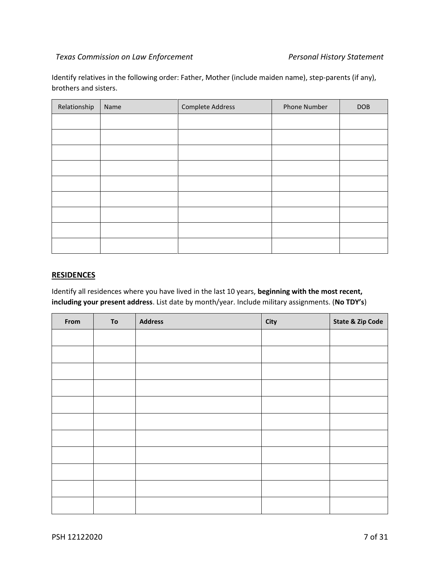Identify relatives in the following order: Father, Mother (include maiden name), step-parents (if any), brothers and sisters.

| Relationship | Name | Complete Address | <b>Phone Number</b> | DOB |
|--------------|------|------------------|---------------------|-----|
|              |      |                  |                     |     |
|              |      |                  |                     |     |
|              |      |                  |                     |     |
|              |      |                  |                     |     |
|              |      |                  |                     |     |
|              |      |                  |                     |     |
|              |      |                  |                     |     |
|              |      |                  |                     |     |
|              |      |                  |                     |     |

#### **RESIDENCES**

Identify all residences where you have lived in the last 10 years, **beginning with the most recent, including your present address**. List date by month/year. Include military assignments. (**No TDY's**)

| From | ${\bf To}$ | <b>Address</b> | City | <b>State &amp; Zip Code</b> |
|------|------------|----------------|------|-----------------------------|
|      |            |                |      |                             |
|      |            |                |      |                             |
|      |            |                |      |                             |
|      |            |                |      |                             |
|      |            |                |      |                             |
|      |            |                |      |                             |
|      |            |                |      |                             |
|      |            |                |      |                             |
|      |            |                |      |                             |
|      |            |                |      |                             |
|      |            |                |      |                             |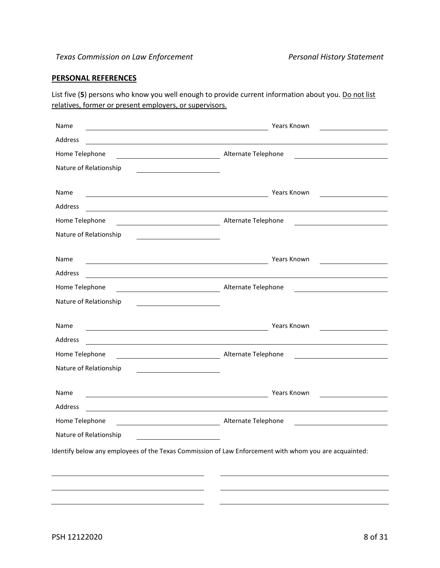# **PERSONAL REFERENCES**

List five (5) persons who know you well enough to provide current information about you. Do not list relatives, former or present employers, or supervisors.

| Name                                                                                                                             | <b>Years Known</b>                                                            |
|----------------------------------------------------------------------------------------------------------------------------------|-------------------------------------------------------------------------------|
| Address                                                                                                                          |                                                                               |
| Home Telephone<br><u> 1980 - Johann Barbara, martx</u>                                                                           | Alternate Telephone                                                           |
| Nature of Relationship<br><u> 1980 - Johann Barbara, martxa alemaniar a</u>                                                      |                                                                               |
| Name<br><u> 1980 - Johann Stoff, deutscher Stoffen und der Stoffen und der Stoffen und der Stoffen und der Stoffen und de</u>    | Years Known                                                                   |
| Address                                                                                                                          |                                                                               |
| Home Telephone                                                                                                                   | Alternate Telephone<br><u> 1980 - Jan Barnett, fransk politiker (d. 1980)</u> |
| Nature of Relationship<br><u> 1989 - Johann Stoff, Amerikaansk politiker (</u>                                                   |                                                                               |
| Name<br><u> 1980 - Johann Stoff, deutscher Stoffen und der Stoffen und der Stoffen und der Stoffen und der Stoffen und d</u>     | Years Known                                                                   |
| Address                                                                                                                          |                                                                               |
| Home Telephone<br>Alternate Telephone                                                                                            |                                                                               |
| Nature of Relationship<br><u> 1989 - Johann Barbara, martin amerikan ba</u>                                                      |                                                                               |
| Name<br><u> 1989 - Johann John Stein, fransk politik (</u>                                                                       | Years Known                                                                   |
| Address<br><u> 1980 - Johann Stoff, deutscher Stoffen und der Stoffen und der Stoffen und der Stoffen und der Stoffen und de</u> |                                                                               |
| Home Telephone<br><u> 1990 - Johann Barbara, martin a</u>                                                                        | Alternate Telephone                                                           |
| Nature of Relationship                                                                                                           |                                                                               |
| Name<br><u> 1989 - Johann Barn, mars ann an t-Amhain an t-Amhain an t-Amhain an t-Amhain an t-Amhain an t-Amhain an t-Amh</u>    | Years Known                                                                   |
| Address                                                                                                                          |                                                                               |
| Home Telephone                                                                                                                   | Alternate Telephone                                                           |
| Nature of Relationship                                                                                                           |                                                                               |
| Identify below any employees of the Texas Commission of Law Enforcement with whom you are acquainted:                            |                                                                               |
|                                                                                                                                  |                                                                               |
|                                                                                                                                  |                                                                               |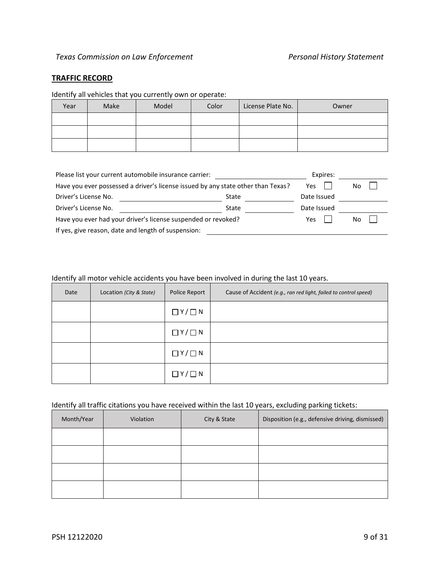#### **TRAFFIC RECORD**

### Identify all vehicles that you currently own or operate:

| Year | Make | Model | Color | License Plate No. | Owner |
|------|------|-------|-------|-------------------|-------|
|      |      |       |       |                   |       |
|      |      |       |       |                   |       |
|      |      |       |       |                   |       |

| Please list your current automobile insurance carrier:                           | Expires: |             |  |  |
|----------------------------------------------------------------------------------|----------|-------------|--|--|
| Have you ever possessed a driver's license issued by any state other than Texas? | Yes      | No          |  |  |
| Driver's License No.                                                             | State    | Date Issued |  |  |
| Driver's License No.                                                             | State    | Date Issued |  |  |
| Have you ever had your driver's license suspended or revoked?                    | Yes      | No          |  |  |
| If yes, give reason, date and length of suspension:                              |          |             |  |  |

# Identify all motor vehicle accidents you have been involved in during the last 10 years.

| Date | Location (City & State) | Police Report       | Cause of Accident (e.g., ran red light, failed to control speed) |
|------|-------------------------|---------------------|------------------------------------------------------------------|
|      |                         | $\Box$ Y / $\Box$ N |                                                                  |
|      |                         | $\Box$ Y / $\Box$ N |                                                                  |
|      |                         | $\Box Y/\Box N$     |                                                                  |
|      |                         | $\Box$ Y/ $\Box$ N  |                                                                  |

# Identify all traffic citations you have received within the last 10 years, excluding parking tickets:

| Month/Year | Violation | City & State | Disposition (e.g., defensive driving, dismissed) |
|------------|-----------|--------------|--------------------------------------------------|
|            |           |              |                                                  |
|            |           |              |                                                  |
|            |           |              |                                                  |
|            |           |              |                                                  |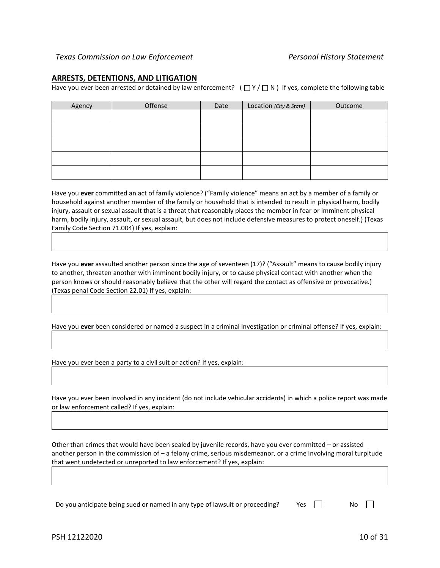#### **ARRESTS, DETENTIONS, AND LITIGATION**

Have you ever been arrested or detained by law enforcement?  $(\Box Y/\Box N)$  If yes, complete the following table

| Agency | Offense | Date | Location (City & State) | Outcome |
|--------|---------|------|-------------------------|---------|
|        |         |      |                         |         |
|        |         |      |                         |         |
|        |         |      |                         |         |
|        |         |      |                         |         |
|        |         |      |                         |         |

Have you **ever** committed an act of family violence? ("Family violence" means an act by a member of a family or household against another member of the family or household that is intended to result in physical harm, bodily injury, assault or sexual assault that is a threat that reasonably places the member in fear or imminent physical harm, bodily injury, assault, or sexual assault, but does not include defensive measures to protect oneself.) (Texas Family Code Section 71.004) If yes, explain:

Have you **ever** assaulted another person since the age of seventeen (17)? ("Assault" means to cause bodily injury to another, threaten another with imminent bodily injury, or to cause physical contact with another when the person knows or should reasonably believe that the other will regard the contact as offensive or provocative.) (Texas penal Code Section 22.01) If yes, explain:

Have you **ever** been considered or named a suspect in a criminal investigation or criminal offense? If yes, explain:

Have you ever been a party to a civil suit or action? If yes, explain:

Have you ever been involved in any incident (do not include vehicular accidents) in which a police report was made or law enforcement called? If yes, explain:

Other than crimes that would have been sealed by juvenile records, have you ever committed – or assisted another person in the commission of – a felony crime, serious misdemeanor, or a crime involving moral turpitude that went undetected or unreported to law enforcement? If yes, explain:

Do you anticipate being sued or named in any type of lawsuit or proceeding?  $\Box$  Yes  $\Box$  No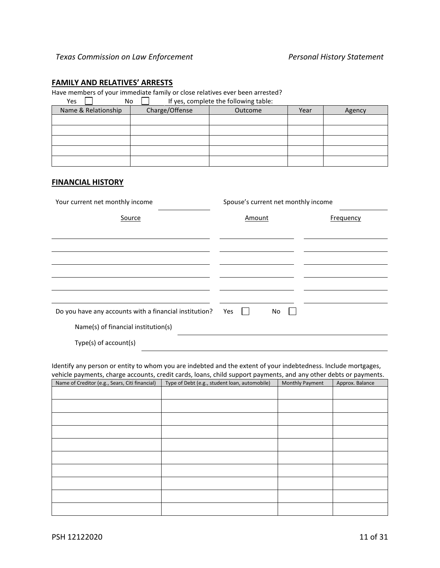### **FAMILY AND RELATIVES' ARRESTS**

Have members of your immediate family or close relatives ever been arrested?<br>No  $\Box$  If yes, complete the following table: y<br>If yes, complete the following table:

| נ כט<br>טוי         |                | If yes, complete the following table. |      |        |
|---------------------|----------------|---------------------------------------|------|--------|
| Name & Relationship | Charge/Offense | Outcome                               | Year | Agency |
|                     |                |                                       |      |        |
|                     |                |                                       |      |        |
|                     |                |                                       |      |        |
|                     |                |                                       |      |        |
|                     |                |                                       |      |        |

# **FINANCIAL HISTORY**

| Your current net monthly income                        | Spouse's current net monthly income |           |  |  |
|--------------------------------------------------------|-------------------------------------|-----------|--|--|
| Source                                                 | Amount                              | Frequency |  |  |
|                                                        |                                     |           |  |  |
|                                                        |                                     |           |  |  |
|                                                        |                                     |           |  |  |
|                                                        |                                     |           |  |  |
|                                                        |                                     |           |  |  |
|                                                        |                                     |           |  |  |
| Do you have any accounts with a financial institution? | Yes<br>No                           |           |  |  |
| Name(s) of financial institution(s)                    |                                     |           |  |  |
| Type(s) of account(s)                                  |                                     |           |  |  |

Identify any person or entity to whom you are indebted and the extent of your indebtedness. Include mortgages, vehicle payments, charge accounts, credit cards, loans, child support payments, and any other debts or payments.

| Name of Creditor (e.g., Sears, Citi financial) | Type of Debt (e.g., student loan, automobile) | $\overline{\phantom{a}}$<br><b>Monthly Payment</b> | $\overline{\phantom{a}}$<br>Approx. Balance |
|------------------------------------------------|-----------------------------------------------|----------------------------------------------------|---------------------------------------------|
|                                                |                                               |                                                    |                                             |
|                                                |                                               |                                                    |                                             |
|                                                |                                               |                                                    |                                             |
|                                                |                                               |                                                    |                                             |
|                                                |                                               |                                                    |                                             |
|                                                |                                               |                                                    |                                             |
|                                                |                                               |                                                    |                                             |
|                                                |                                               |                                                    |                                             |
|                                                |                                               |                                                    |                                             |
|                                                |                                               |                                                    |                                             |
|                                                |                                               |                                                    |                                             |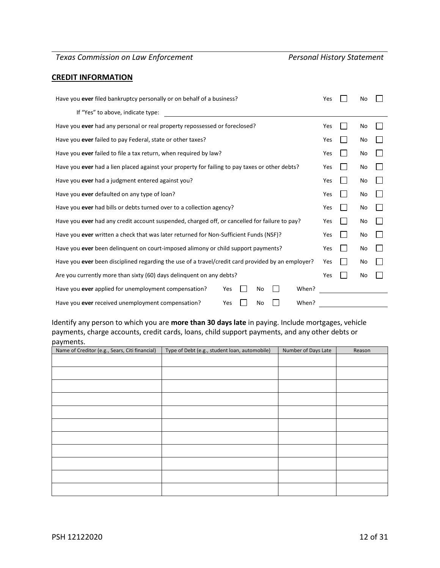# **CREDIT INFORMATION**

| Have you ever filed bankruptcy personally or on behalf of a business?                             |     |  | No |  |
|---------------------------------------------------------------------------------------------------|-----|--|----|--|
| If "Yes" to above, indicate type:                                                                 |     |  |    |  |
| Have you ever had any personal or real property repossessed or foreclosed?                        | Yes |  | No |  |
| Have you ever failed to pay Federal, state or other taxes?                                        | Yes |  | No |  |
| Have you ever failed to file a tax return, when required by law?                                  | Yes |  | No |  |
| Have you ever had a lien placed against your property for failing to pay taxes or other debts?    | Yes |  | No |  |
| Have you ever had a judgment entered against you?                                                 | Yes |  | No |  |
| Have you ever defaulted on any type of loan?                                                      | Yes |  | No |  |
| Have you ever had bills or debts turned over to a collection agency?                              |     |  | No |  |
| Have you ever had any credit account suspended, charged off, or cancelled for failure to pay?     |     |  | No |  |
| Have you ever written a check that was later returned for Non-Sufficient Funds (NSF)?             | Yes |  | No |  |
| Have you ever been delinquent on court-imposed alimony or child support payments?                 | Yes |  | No |  |
| Have you ever been disciplined regarding the use of a travel/credit card provided by an employer? |     |  | No |  |
| Are you currently more than sixty (60) days delinguent on any debts?                              | Yes |  | No |  |
| Have you ever applied for unemployment compensation?<br>No<br>When?<br>Yes                        |     |  |    |  |
| Have you ever received unemployment compensation?<br>Yes<br>When?<br>No                           |     |  |    |  |

# Identify any person to which you are **more than 30 days late** in paying. Include mortgages, vehicle payments, charge accounts, credit cards, loans, child support payments, and any other debts or payments.

| Name of Creditor (e.g., Sears, Citi financial) | Type of Debt (e.g., student loan, automobile) | Number of Days Late | Reason |
|------------------------------------------------|-----------------------------------------------|---------------------|--------|
|                                                |                                               |                     |        |
|                                                |                                               |                     |        |
|                                                |                                               |                     |        |
|                                                |                                               |                     |        |
|                                                |                                               |                     |        |
|                                                |                                               |                     |        |
|                                                |                                               |                     |        |
|                                                |                                               |                     |        |
|                                                |                                               |                     |        |
|                                                |                                               |                     |        |
|                                                |                                               |                     |        |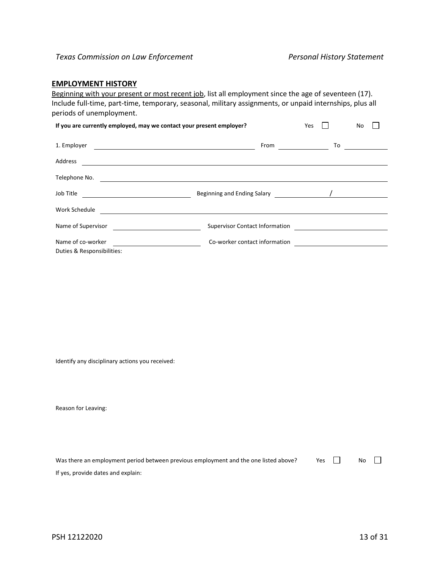### **EMPLOYMENT HISTORY**

Beginning with your present or most recent job, list all employment since the age of seventeen (17). Include full-time, part-time, temporary, seasonal, military assignments, or unpaid internships, plus all periods of unemployment.

| If you are currently employed, may we contact your present employer? |                                       | Yes | No              |
|----------------------------------------------------------------------|---------------------------------------|-----|-----------------|
| 1. Employer                                                          | From                                  |     | $\overline{10}$ |
| Address                                                              |                                       |     |                 |
| Telephone No.<br><u> 1980 - Jan Barbara (j. 1980)</u>                |                                       |     |                 |
| Job Title<br><u> 1989 - Johann Barbara, martin amerikan ba</u>       |                                       |     |                 |
| Work Schedule                                                        |                                       |     |                 |
| Name of Supervisor                                                   | <b>Supervisor Contact Information</b> |     |                 |
| Name of co-worker                                                    | Co-worker contact information         |     |                 |
| Duties & Responsibilities:                                           |                                       |     |                 |

Identify any disciplinary actions you received:

| Was there an employment period between previous employment and the one listed above? | Yes II | No $\Box$ |  |
|--------------------------------------------------------------------------------------|--------|-----------|--|
| If yes, provide dates and explain:                                                   |        |           |  |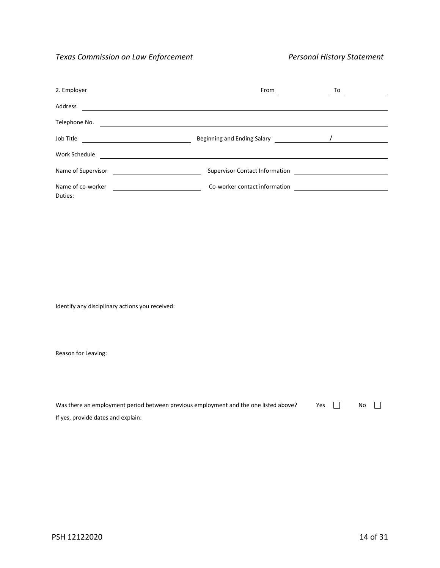| 2. Employer        | From                                  | To |
|--------------------|---------------------------------------|----|
| Address            |                                       |    |
| Telephone No.      |                                       |    |
| Job Title          |                                       |    |
| Work Schedule      |                                       |    |
| Name of Supervisor | <b>Supervisor Contact Information</b> |    |
| Name of co-worker  | Co-worker contact information         |    |
| Duties:            |                                       |    |

Identify any disciplinary actions you received:

| Was there an employment period between previous employment and the one listed above? | Yes In | No |  |
|--------------------------------------------------------------------------------------|--------|----|--|
| If yes, provide dates and explain:                                                   |        |    |  |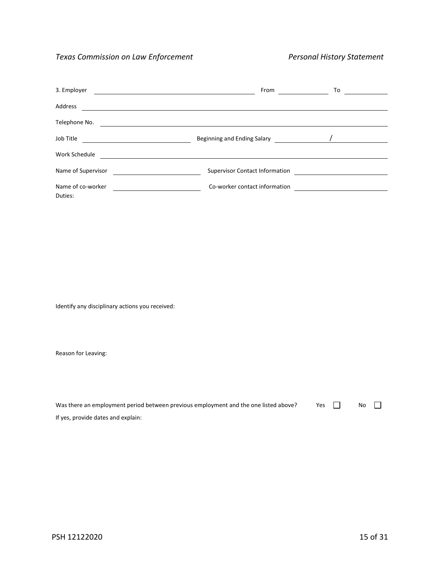| 3. Employer        | From<br><u> 1989 - Johann Stoff, amerikansk politiker (* 1908)</u> | To |
|--------------------|--------------------------------------------------------------------|----|
| Address            |                                                                    |    |
| Telephone No.      |                                                                    |    |
| Job Title          |                                                                    |    |
| Work Schedule      |                                                                    |    |
| Name of Supervisor | <b>Supervisor Contact Information</b>                              |    |
| Name of co-worker  | Co-worker contact information                                      |    |
| Duties:            |                                                                    |    |

Identify any disciplinary actions you received:

| Was there an employment period between previous employment and the one listed above? | Yes In | No |  |
|--------------------------------------------------------------------------------------|--------|----|--|
| If yes, provide dates and explain:                                                   |        |    |  |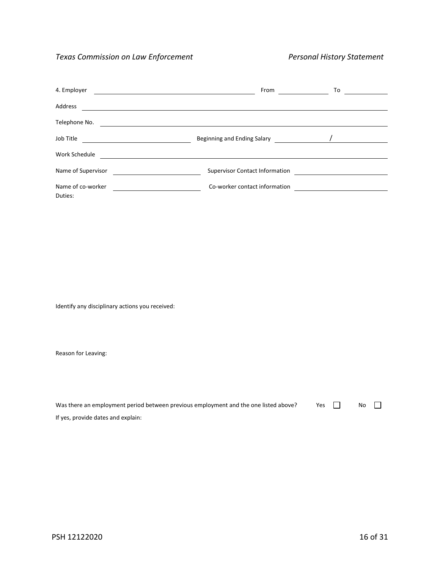| 4. Employer        | From                                  | To |
|--------------------|---------------------------------------|----|
| Address            |                                       |    |
| Telephone No.      |                                       |    |
| Job Title          |                                       |    |
| Work Schedule      |                                       |    |
| Name of Supervisor | <b>Supervisor Contact Information</b> |    |
| Name of co-worker  | Co-worker contact information         |    |
| Duties:            |                                       |    |

Identify any disciplinary actions you received:

| Was there an employment period between previous employment and the one listed above? | Yes In | No |  |
|--------------------------------------------------------------------------------------|--------|----|--|
| If yes, provide dates and explain:                                                   |        |    |  |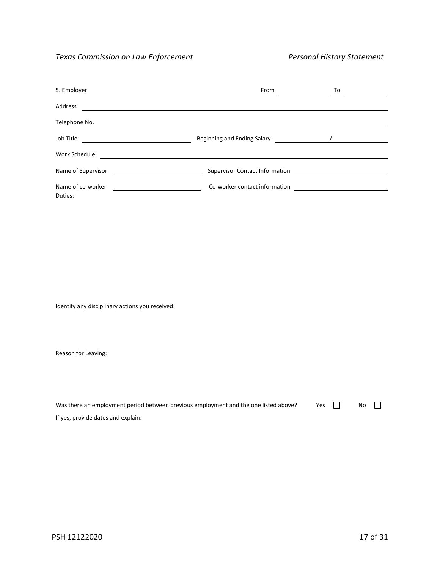| 5. Employer        | From                                  | To |
|--------------------|---------------------------------------|----|
| Address            |                                       |    |
| Telephone No.      |                                       |    |
| Job Title          |                                       |    |
| Work Schedule      |                                       |    |
| Name of Supervisor | <b>Supervisor Contact Information</b> |    |
| Name of co-worker  | Co-worker contact information         |    |
| Duties:            |                                       |    |

Identify any disciplinary actions you received:

| Was there an employment period between previous employment and the one listed above? | Yes In | No |  |
|--------------------------------------------------------------------------------------|--------|----|--|
| If yes, provide dates and explain:                                                   |        |    |  |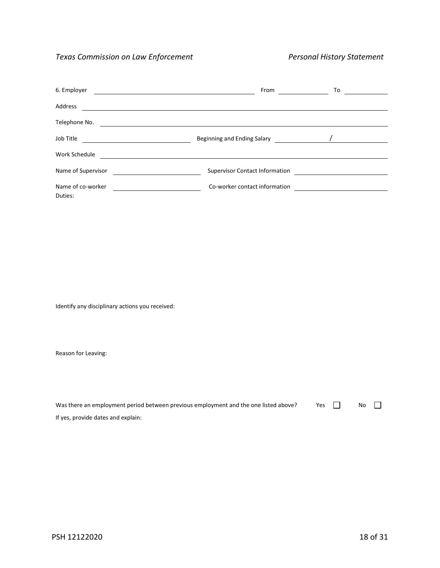| 6. Employer        | From                                  | To |
|--------------------|---------------------------------------|----|
| Address            |                                       |    |
| Telephone No.      |                                       |    |
| Job Title          |                                       |    |
| Work Schedule      |                                       |    |
| Name of Supervisor | <b>Supervisor Contact Information</b> |    |
| Name of co-worker  | Co-worker contact information         |    |
| Duties:            |                                       |    |

Identify any disciplinary actions you received:

| Was there an employment period between previous employment and the one listed above? | Yes In | No |  |
|--------------------------------------------------------------------------------------|--------|----|--|
| If yes, provide dates and explain:                                                   |        |    |  |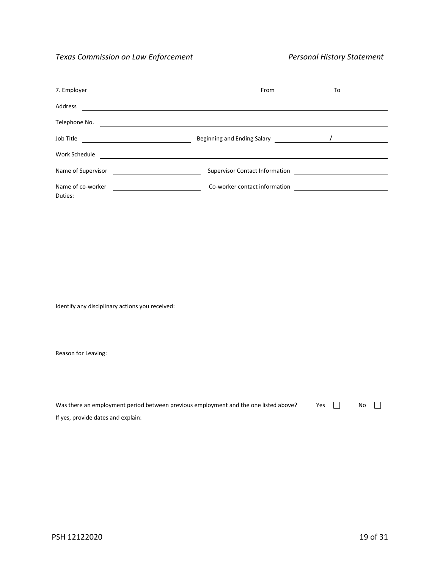| 7. Employer        | From<br><u> 1989 - Jan Salaman Salaman (j. 1989)</u> | To |
|--------------------|------------------------------------------------------|----|
| Address            |                                                      |    |
| Telephone No.      |                                                      |    |
| Job Title          |                                                      |    |
| Work Schedule      |                                                      |    |
| Name of Supervisor | <b>Supervisor Contact Information</b>                |    |
| Name of co-worker  | Co-worker contact information                        |    |
| Duties:            |                                                      |    |

Identify any disciplinary actions you received:

| Was there an employment period between previous employment and the one listed above? | Yes In | No |  |
|--------------------------------------------------------------------------------------|--------|----|--|
| If yes, provide dates and explain:                                                   |        |    |  |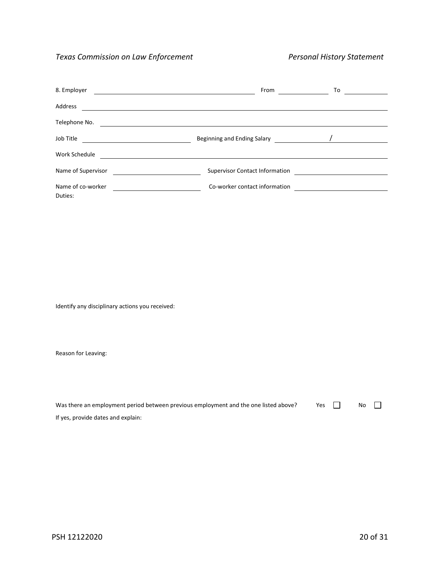| 8. Employer        | From                                  | To |
|--------------------|---------------------------------------|----|
| Address            |                                       |    |
| Telephone No.      |                                       |    |
| Job Title          |                                       |    |
| Work Schedule      |                                       |    |
| Name of Supervisor | <b>Supervisor Contact Information</b> |    |
| Name of co-worker  | Co-worker contact information         |    |
| Duties:            |                                       |    |

Identify any disciplinary actions you received:

| Was there an employment period between previous employment and the one listed above? | Yes In | No |  |
|--------------------------------------------------------------------------------------|--------|----|--|
| If yes, provide dates and explain:                                                   |        |    |  |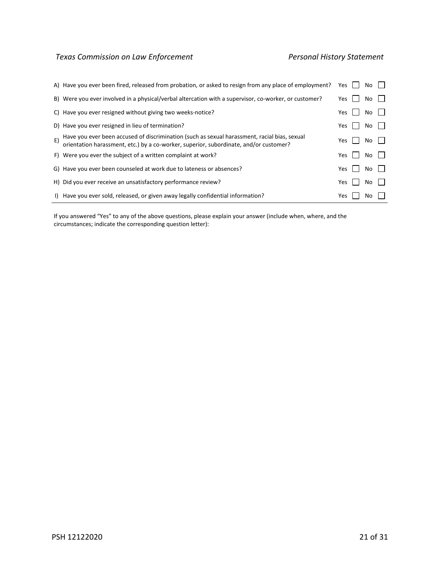|    | A) Have you ever been fired, released from probation, or asked to resign from any place of employment?                                                                                | Yes | No  |  |
|----|---------------------------------------------------------------------------------------------------------------------------------------------------------------------------------------|-----|-----|--|
|    | B) Were you ever involved in a physical/verbal altercation with a supervisor, co-worker, or customer?                                                                                 | Yes | No  |  |
|    | C) Have you ever resigned without giving two weeks-notice?                                                                                                                            | Yes | No. |  |
|    | D) Have you ever resigned in lieu of termination?                                                                                                                                     | Yes | No. |  |
| E) | Have you ever been accused of discrimination (such as sexual harassment, racial bias, sexual<br>orientation harassment, etc.) by a co-worker, superior, subordinate, and/or customer? | Yes | No  |  |
|    | F) Were you ever the subject of a written complaint at work?                                                                                                                          | Yes | No. |  |
|    | G) Have you ever been counseled at work due to lateness or absences?                                                                                                                  | Yes | No. |  |
|    | H) Did you ever receive an unsatisfactory performance review?                                                                                                                         | Yes | No. |  |
|    | I) Have you ever sold, released, or given away legally confidential information?                                                                                                      | Yes | Nο  |  |

If you answered "Yes" to any of the above questions, please explain your answer (include when, where, and the circumstances; indicate the corresponding question letter):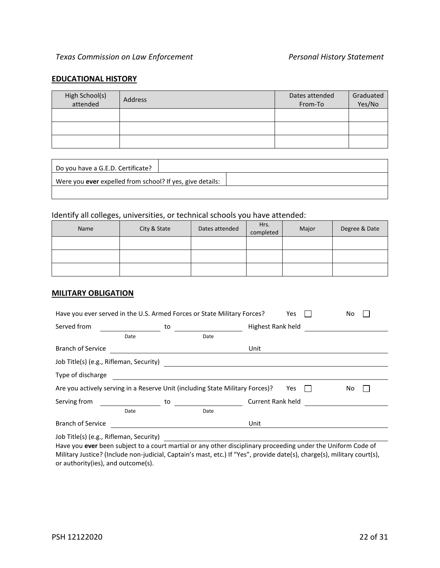#### **EDUCATIONAL HISTORY**

| High School(s)<br>attended | Address | Dates attended<br>From-To | Graduated<br>Yes/No |
|----------------------------|---------|---------------------------|---------------------|
|                            |         |                           |                     |
|                            |         |                           |                     |
|                            |         |                           |                     |

| Do you have a G.E.D. Certificate?                                |  |  |
|------------------------------------------------------------------|--|--|
| Were you <b>ever</b> expelled from school? If yes, give details: |  |  |
|                                                                  |  |  |

# Identify all colleges, universities, or technical schools you have attended:

| Name | City & State | Dates attended | Hrs.<br>completed | Major | Degree & Date |
|------|--------------|----------------|-------------------|-------|---------------|
|      |              |                |                   |       |               |
|      |              |                |                   |       |               |
|      |              |                |                   |       |               |

#### **MILITARY OBLIGATION**

| Have you ever served in the U.S. Armed Forces or State Military Forces?<br>Yes<br>No. |                          |                                                                                               |  |  |  |  |  |
|---------------------------------------------------------------------------------------|--------------------------|-----------------------------------------------------------------------------------------------|--|--|--|--|--|
| to                                                                                    | Highest Rank held        |                                                                                               |  |  |  |  |  |
|                                                                                       |                          |                                                                                               |  |  |  |  |  |
|                                                                                       | Unit                     |                                                                                               |  |  |  |  |  |
| Job Title(s) (e.g., Rifleman, Security)                                               |                          |                                                                                               |  |  |  |  |  |
|                                                                                       |                          |                                                                                               |  |  |  |  |  |
|                                                                                       | Yes                      | No.                                                                                           |  |  |  |  |  |
| to                                                                                    | <b>Current Rank held</b> |                                                                                               |  |  |  |  |  |
|                                                                                       |                          |                                                                                               |  |  |  |  |  |
|                                                                                       | Unit                     |                                                                                               |  |  |  |  |  |
|                                                                                       |                          | Date<br>Are you actively serving in a Reserve Unit (including State Military Forces)?<br>Date |  |  |  |  |  |

Job Title(s) (e.g., Rifleman, Security)

Have you **ever** been subject to a court martial or any other disciplinary proceeding under the Uniform Code of Military Justice? (Include non-judicial, Captain's mast, etc.) If "Yes", provide date(s), charge(s), military court(s), or authority(ies), and outcome(s).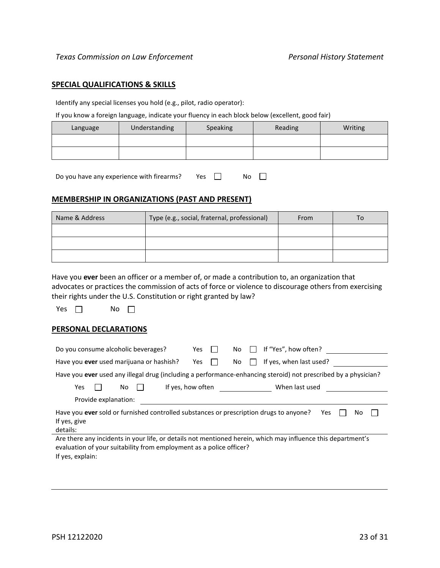#### **SPECIAL QUALIFICATIONS & SKILLS**

Identify any special licenses you hold (e.g., pilot, radio operator):

If you know a foreign language, indicate your fluency in each block below (excellent, good fair)

| Language | Understanding | Speaking | Reading | Writing |
|----------|---------------|----------|---------|---------|
|          |               |          |         |         |
|          |               |          |         |         |

Do you have any experience with firearms? Yes  $\Box$  No  $\Box$ 

#### **MEMBERSHIP IN ORGANIZATIONS (PAST AND PRESENT)**

| Name & Address | Type (e.g., social, fraternal, professional) | From | To |
|----------------|----------------------------------------------|------|----|
|                |                                              |      |    |
|                |                                              |      |    |
|                |                                              |      |    |

Have you **ever** been an officer or a member of, or made a contribution to, an organization that advocates or practices the commission of acts of force or violence to discourage others from exercising their rights under the U.S. Constitution or right granted by law?

Yes  $\Box$  No  $\Box$ 

#### **PERSONAL DECLARATIONS**

| Do you consume alcoholic beverages?                                                                                                                                                                                       | <b>Yes</b>        | If "Yes", how often?<br>No    |  |  |  |
|---------------------------------------------------------------------------------------------------------------------------------------------------------------------------------------------------------------------------|-------------------|-------------------------------|--|--|--|
| Have you ever used marijuana or hashish?                                                                                                                                                                                  | Yes               | If yes, when last used?<br>No |  |  |  |
| Have you ever used any illegal drug (including a performance-enhancing steroid) not prescribed by a physician?                                                                                                            |                   |                               |  |  |  |
| Yes<br>No                                                                                                                                                                                                                 | If yes, how often | When last used                |  |  |  |
| Provide explanation:                                                                                                                                                                                                      |                   |                               |  |  |  |
| Have you ever sold or furnished controlled substances or prescription drugs to anyone?<br>Yes<br>No<br>If yes, give<br>details:                                                                                           |                   |                               |  |  |  |
| Are there any incidents in your life, or details not mentioned herein, which may influence this department's<br>evaluation of your suitability from employment as a police officer?<br>المتحاوية والمستحدث المتحدث والكلا |                   |                               |  |  |  |

If yes, explain: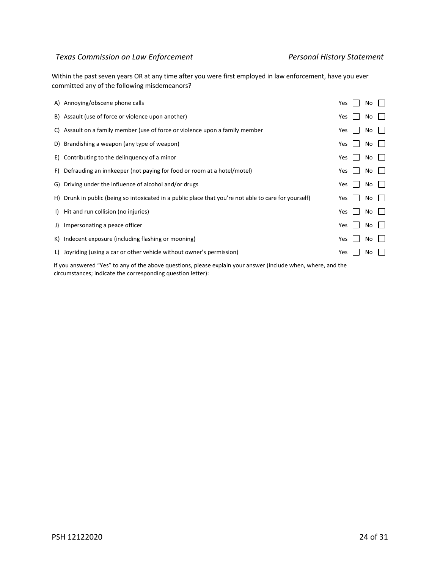Within the past seven years OR at any time after you were first employed in law enforcement, have you ever committed any of the following misdemeanors?

|              | A) Annoying/obscene phone calls                                                                       | Yes        | No  |  |
|--------------|-------------------------------------------------------------------------------------------------------|------------|-----|--|
|              | B) Assault (use of force or violence upon another)                                                    | Yes        | No. |  |
|              | C) Assault on a family member (use of force or violence upon a family member                          | Yes        | No. |  |
|              | D) Brandishing a weapon (any type of weapon)                                                          | Yes        | No  |  |
|              | E) Contributing to the delinguency of a minor                                                         | Yes        | No  |  |
|              | F) Defrauding an innkeeper (not paying for food or room at a hotel/motel)                             | Yes        | No  |  |
|              | G) Driving under the influence of alcohol and/or drugs                                                | Yes        | No. |  |
|              | H) Drunk in public (being so intoxicated in a public place that you're not able to care for yourself) | Yes        | No. |  |
| $\mathbf{D}$ | Hit and run collision (no injuries)                                                                   | Yes        | No. |  |
| J)           | Impersonating a peace officer                                                                         | <b>Yes</b> | No  |  |
|              | K) Indecent exposure (including flashing or mooning)                                                  | Yes        | No  |  |
|              | L) Joyriding (using a car or other vehicle without owner's permission)                                | Yes        | No  |  |
|              |                                                                                                       |            |     |  |

If you answered "Yes" to any of the above questions, please explain your answer (include when, where, and the circumstances; indicate the corresponding question letter):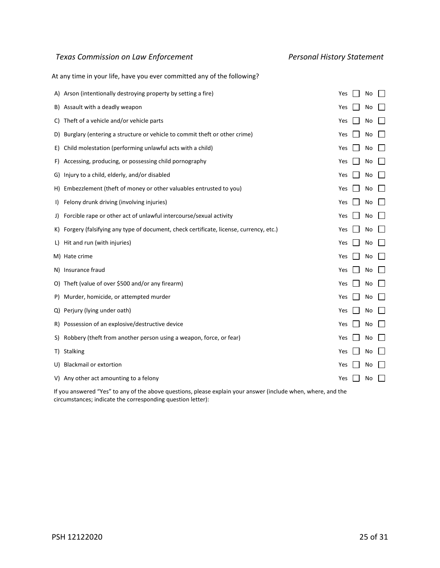At any time in your life, have you ever committed any of the following?

|     | A) Arson (intentionally destroying property by setting a fire)                        | Yes | No |  |
|-----|---------------------------------------------------------------------------------------|-----|----|--|
| B)  | Assault with a deadly weapon                                                          | Yes | No |  |
| C)  | Theft of a vehicle and/or vehicle parts                                               | Yes | No |  |
| D)  | Burglary (entering a structure or vehicle to commit theft or other crime)             | Yes | No |  |
| E)  | Child molestation (performing unlawful acts with a child)                             | Yes | No |  |
| F)  | Accessing, producing, or possessing child pornography                                 | Yes | No |  |
| G)  | Injury to a child, elderly, and/or disabled                                           | Yes | No |  |
| H). | Embezzlement (theft of money or other valuables entrusted to you)                     | Yes | No |  |
| I)  | Felony drunk driving (involving injuries)                                             | Yes | No |  |
| J)  | Forcible rape or other act of unlawful intercourse/sexual activity                    | Yes | No |  |
| K)  | Forgery (falsifying any type of document, check certificate, license, currency, etc.) | Yes | No |  |
| L)  | Hit and run (with injuries)                                                           | Yes | No |  |
|     | M) Hate crime                                                                         | Yes | No |  |
| N)  | Insurance fraud                                                                       | Yes | No |  |
| O)  | Theft (value of over \$500 and/or any firearm)                                        | Yes | No |  |
| P)  | Murder, homicide, or attempted murder                                                 | Yes | No |  |
| Q)  | Perjury (lying under oath)                                                            | Yes | No |  |
| R)  | Possession of an explosive/destructive device                                         | Yes | No |  |
| S)  | Robbery (theft from another person using a weapon, force, or fear)                    | Yes | No |  |
| T)  | <b>Stalking</b>                                                                       | Yes | No |  |
| U)  | <b>Blackmail or extortion</b>                                                         | Yes | No |  |
|     | V) Any other act amounting to a felony                                                | Yes | No |  |
|     |                                                                                       |     |    |  |

If you answered "Yes" to any of the above questions, please explain your answer (include when, where, and the circumstances; indicate the corresponding question letter):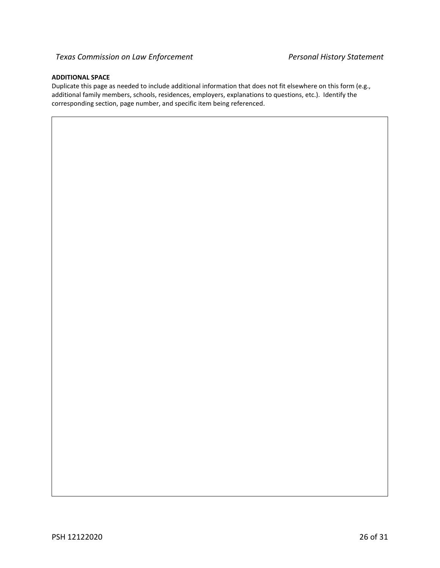#### **ADDITIONAL SPACE**

Duplicate this page as needed to include additional information that does not fit elsewhere on this form (e.g., additional family members, schools, residences, employers, explanations to questions, etc.). Identify the corresponding section, page number, and specific item being referenced.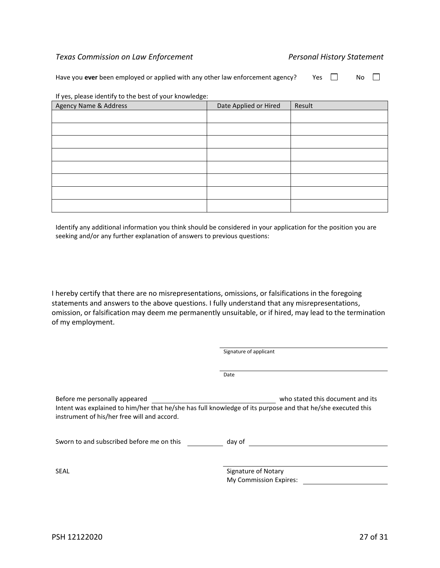Have you **ever** been employed or applied with any other law enforcement agency? Yes  $\Box$  No  $\Box$ 

| Agency Name & Address | Date Applied or Hired | Result |
|-----------------------|-----------------------|--------|
|                       |                       |        |
|                       |                       |        |
|                       |                       |        |
|                       |                       |        |
|                       |                       |        |
|                       |                       |        |
|                       |                       |        |
|                       |                       |        |

If yes, please identify to the best of your knowledge:

Identify any additional information you think should be considered in your application for the position you are seeking and/or any further explanation of answers to previous questions:

I hereby certify that there are no misrepresentations, omissions, or falsifications in the foregoing statements and answers to the above questions. I fully understand that any misrepresentations, omission, or falsification may deem me permanently unsuitable, or if hired, may lead to the termination of my employment.

|                                                                              | Signature of applicant                                                                                                                          |
|------------------------------------------------------------------------------|-------------------------------------------------------------------------------------------------------------------------------------------------|
|                                                                              |                                                                                                                                                 |
|                                                                              | Date                                                                                                                                            |
| Before me personally appeared<br>instrument of his/her free will and accord. | who stated this document and its<br>Intent was explained to him/her that he/she has full knowledge of its purpose and that he/she executed this |
| Sworn to and subscribed before me on this                                    | day of                                                                                                                                          |
| SEAL                                                                         | Signature of Notary<br>My Commission Expires:                                                                                                   |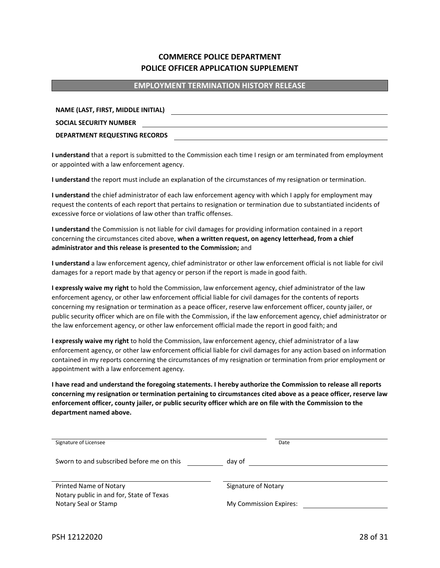#### **EMPLOYMENT TERMINATION HISTORY RELEASE**

**NAME (LAST, FIRST, MIDDLE INITIAL) SOCIAL SECURITY NUMBER DEPARTMENT REQUESTING RECORDS**

**I understand** that a report is submitted to the Commission each time I resign or am terminated from employment or appointed with a law enforcement agency.

**I understand** the report must include an explanation of the circumstances of my resignation or termination.

**I understand** the chief administrator of each law enforcement agency with which I apply for employment may request the contents of each report that pertains to resignation or termination due to substantiated incidents of excessive force or violations of law other than traffic offenses.

**I understand** the Commission is not liable for civil damages for providing information contained in a report concerning the circumstances cited above, **when a written request, on agency letterhead, from a chief administrator and this release is presented to the Commission;** and

**I understand** a law enforcement agency, chief administrator or other law enforcement official is not liable for civil damages for a report made by that agency or person if the report is made in good faith.

**I expressly waive my right** to hold the Commission, law enforcement agency, chief administrator of the law enforcement agency, or other law enforcement official liable for civil damages for the contents of reports concerning my resignation or termination as a peace officer, reserve law enforcement officer, county jailer, or public security officer which are on file with the Commission, if the law enforcement agency, chief administrator or the law enforcement agency, or other law enforcement official made the report in good faith; and

**I expressly waive my right** to hold the Commission, law enforcement agency, chief administrator of a law enforcement agency, or other law enforcement official liable for civil damages for any action based on information contained in my reports concerning the circumstances of my resignation or termination from prior employment or appointment with a law enforcement agency.

**I have read and understand the foregoing statements. I hereby authorize the Commission to release all reports concerning my resignation or termination pertaining to circumstances cited above as a peace officer, reserve law enforcement officer, county jailer, or public security officer which are on file with the Commission to the department named above.**

| Signature of Licensee                     | Date                   |  |
|-------------------------------------------|------------------------|--|
|                                           |                        |  |
|                                           |                        |  |
| Sworn to and subscribed before me on this | day of                 |  |
|                                           |                        |  |
|                                           |                        |  |
| Printed Name of Notary                    | Signature of Notary    |  |
|                                           |                        |  |
| Notary public in and for, State of Texas  |                        |  |
| Notary Seal or Stamp                      | My Commission Expires: |  |
|                                           |                        |  |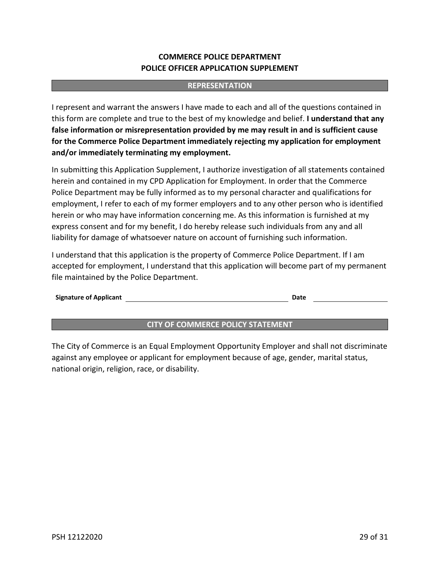### **REPRESENTATION**

I represent and warrant the answers I have made to each and all of the questions contained in this form are complete and true to the best of my knowledge and belief. **I understand that any false information or misrepresentation provided by me may result in and is sufficient cause for the Commerce Police Department immediately rejecting my application for employment and/or immediately terminating my employment.**

In submitting this Application Supplement, I authorize investigation of all statements contained herein and contained in my CPD Application for Employment. In order that the Commerce Police Department may be fully informed as to my personal character and qualifications for employment, I refer to each of my former employers and to any other person who is identified herein or who may have information concerning me. As this information is furnished at my express consent and for my benefit, I do hereby release such individuals from any and all liability for damage of whatsoever nature on account of furnishing such information.

I understand that this application is the property of Commerce Police Department. If I am accepted for employment, I understand that this application will become part of my permanent file maintained by the Police Department.

#### **Signature of Applicant Date**

### **CITY OF COMMERCE POLICY STATEMENT**

The City of Commerce is an Equal Employment Opportunity Employer and shall not discriminate against any employee or applicant for employment because of age, gender, marital status, national origin, religion, race, or disability.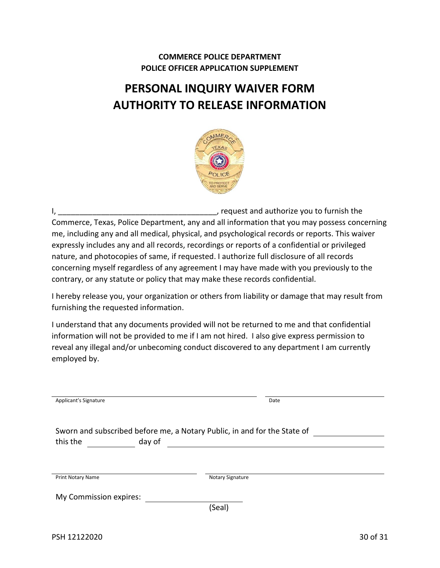# **PERSONAL INQUIRY WAIVER FORM AUTHORITY TO RELEASE INFORMATION**



I, \_\_\_\_\_\_\_\_\_\_\_\_\_\_\_\_\_\_\_\_\_\_\_\_\_\_\_\_\_\_\_\_\_\_\_\_\_, request and authorize you to furnish the Commerce, Texas, Police Department, any and all information that you may possess concerning me, including any and all medical, physical, and psychological records or reports. This waiver expressly includes any and all records, recordings or reports of a confidential or privileged nature, and photocopies of same, if requested. I authorize full disclosure of all records concerning myself regardless of any agreement I may have made with you previously to the contrary, or any statute or policy that may make these records confidential.

I hereby release you, your organization or others from liability or damage that may result from furnishing the requested information.

I understand that any documents provided will not be returned to me and that confidential information will not be provided to me if I am not hired. I also give express permission to reveal any illegal and/or unbecoming conduct discovered to any department I am currently employed by.

| Applicant's Signature                                                    | Date             |  |
|--------------------------------------------------------------------------|------------------|--|
|                                                                          |                  |  |
|                                                                          |                  |  |
| Sworn and subscribed before me, a Notary Public, in and for the State of |                  |  |
| this the<br>day of                                                       |                  |  |
|                                                                          |                  |  |
|                                                                          |                  |  |
|                                                                          |                  |  |
| <b>Print Notary Name</b>                                                 | Notary Signature |  |
|                                                                          |                  |  |
| My Commission expires:                                                   |                  |  |
|                                                                          | (Seal)           |  |
|                                                                          |                  |  |